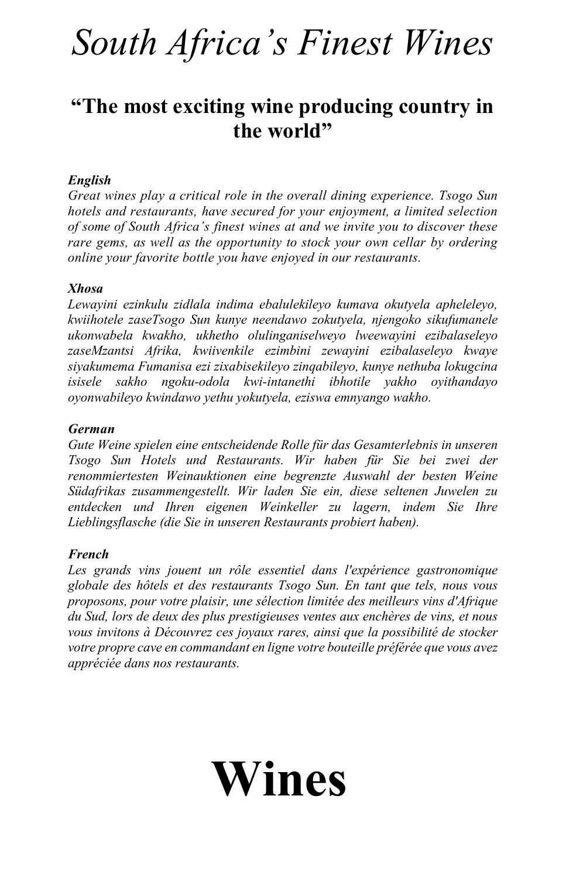# *South Africa's Finest Wines*

# **"The most exciting wine producing country in the world"**

#### *English*

*Great wines play a critical role in the overall dining experience. Tsogo Sun hotels and restaurants, have secured for your enjoyment, a limited selection of some of South Africa's finest wines at and we invite you to discover these rare gems, as well as the opportunity to stock your own cellar by ordering online your favorite bottle you have enjoyed in our restaurants.* 

#### *Xhosa*

*Lewayini ezinkulu zidlala indima ebalulekileyo kumava okutyela apheleleyo, kwiihotele zaseTsogo Sun kunye neendawo zokutyela, njengoko sikufumanele ukonwabela kwakho, ukhetho olulinganiselweyo lweewayini ezibalaseleyo zaseMzantsi Afrika, kwiivenkile ezimbini zewayini ezibalaseleyo kwaye siyakumema Fumanisa ezi zixabisekileyo zinqabileyo, kunye nethuba lokugcina isisele sakho ngoku-odola kwi-intanethi ibhotile yakho oyithandayo oyonwabileyo kwindawo yethu yokutyela, eziswa emnyango wakho.*

#### *German*

*Gute Weine spielen eine entscheidende Rolle für das Gesamterlebnis in unseren Tsogo Sun Hotels und Restaurants. Wir haben für Sie bei zwei der renommiertesten Weinauktionen eine begrenzte Auswahl der besten Weine Südafrikas zusammengestellt. Wir laden Sie ein, diese seltenen Juwelen zu entdecken und Ihren eigenen Weinkeller zu lagern, indem Sie Ihre Lieblingsflasche (die Sie in unseren Restaurants probiert haben).*

#### *French*

*Les grands vins jouent un rôle essentiel dans l'expérience gastronomique globale des hôtels et des restaurants Tsogo Sun. En tant que tels, nous vous proposons, pour votre plaisir, une sélection limitée des meilleurs vins d'Afrique du Sud, lors de deux des plus prestigieuses ventes aux enchères de vins, et nous vous invitons à Découvrez ces joyaux rares, ainsi que la possibilité de stocker votre propre cave en commandant en ligne votre bouteille préférée que vous avez appréciée dans nos restaurants.*

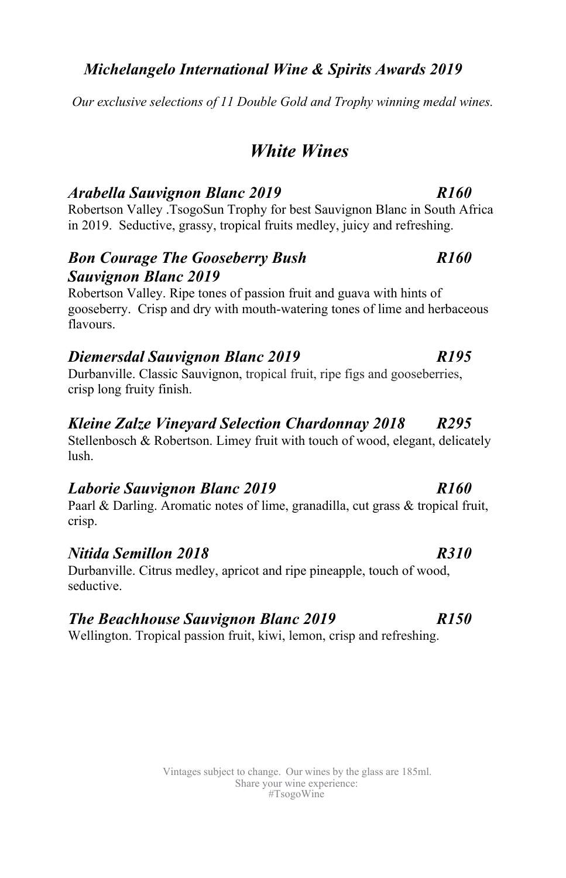#### *Michelangelo International Wine & Spirits Awards 2019*

*Our exclusive selections of 11 Double Gold and Trophy winning medal wines.*

# *White Wines*

#### *Arabella Sauvignon Blanc 2019 R160*

Robertson Valley .TsogoSun Trophy for best Sauvignon Blanc in South Africa in 2019. Seductive, grassy, tropical fruits medley, juicy and refreshing.

#### *Bon Courage The Gooseberry Bush R160 Sauvignon Blanc 2019*

Robertson Valley. Ripe tones of passion fruit and guava with hints of gooseberry. Crisp and dry with mouth-watering tones of lime and herbaceous flavours.

#### *Diemersdal Sauvignon Blanc 2019 R195*

Durbanville. Classic Sauvignon, tropical fruit, ripe figs and gooseberries, crisp long fruity finish.

#### *Kleine Zalze Vineyard Selection Chardonnay 2018 R295*

Stellenbosch & Robertson. Limey fruit with touch of wood, elegant, delicately lush.

#### *Laborie Sauvignon Blanc 2019 R160*

Paarl & Darling. Aromatic notes of lime, granadilla, cut grass & tropical fruit, crisp.

#### *Nitida Semillon 2018 R310*

Durbanville. Citrus medley, apricot and ripe pineapple, touch of wood, seductive.

### *The Beachhouse Sauvignon Blanc 2019 R150*

Wellington. Tropical passion fruit, kiwi, lemon, crisp and refreshing.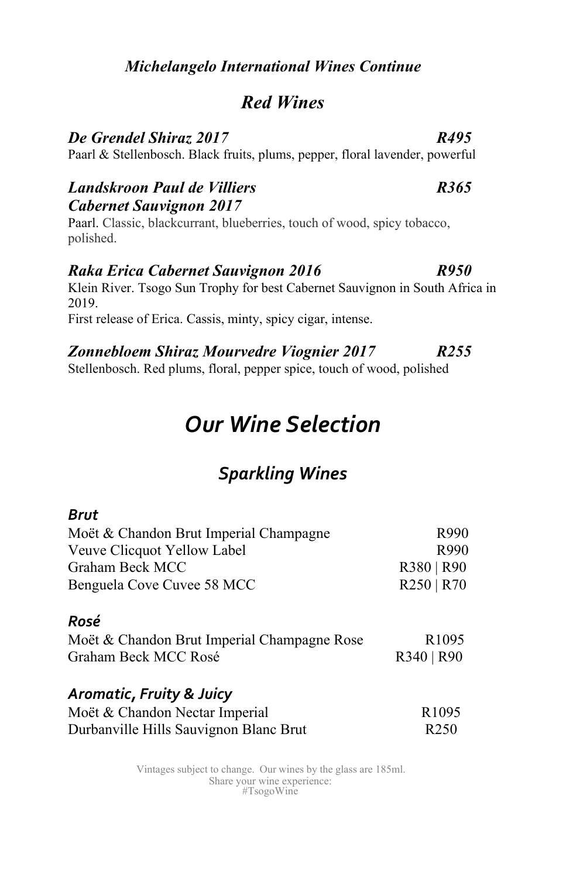#### *Michelangelo International Wines Continue*

### *Red Wines*

#### *De Grendel Shiraz 2017 R495*

Paarl & Stellenbosch. Black fruits, plums, pepper, floral lavender, powerful

#### *Landskroon Paul de Villiers R365 Cabernet Sauvignon 2017*

Paarl. Classic, blackcurrant, blueberries, touch of wood, spicy tobacco, polished.

#### *Raka Erica Cabernet Sauvignon 2016 R950*

Klein River. Tsogo Sun Trophy for best Cabernet Sauvignon in South Africa in 2019.

First release of Erica. Cassis, minty, spicy cigar, intense.

#### *Zonnebloem Shiraz Mourvedre Viognier 2017 R255*

Stellenbosch. Red plums, floral, pepper spice, touch of wood, polished

# *Our Wine Selection*

# *Sparkling Wines*

#### *Brut*

| Moët & Chandon Brut Imperial Champagne | R990       |
|----------------------------------------|------------|
| Veuve Clicquot Yellow Label            | R990       |
| Graham Beck MCC                        | R380   R90 |
| Benguela Cove Cuvee 58 MCC             | R250   R70 |

#### *Rosé*

| Moët & Chandon Brut Imperial Champagne Rose |            | R <sub>1095</sub> |
|---------------------------------------------|------------|-------------------|
| Graham Beck MCC Rosé                        | R340   R90 |                   |

#### *Aromatic, Fruity & Juicy*

| Moët & Chandon Nectar Imperial         | R <sub>1095</sub> |
|----------------------------------------|-------------------|
| Durbanville Hills Sauvignon Blanc Brut | R <sub>250</sub>  |

Vintages subject to change. Our wines by the glass are 185ml. Share your wine experience: #TsogoWine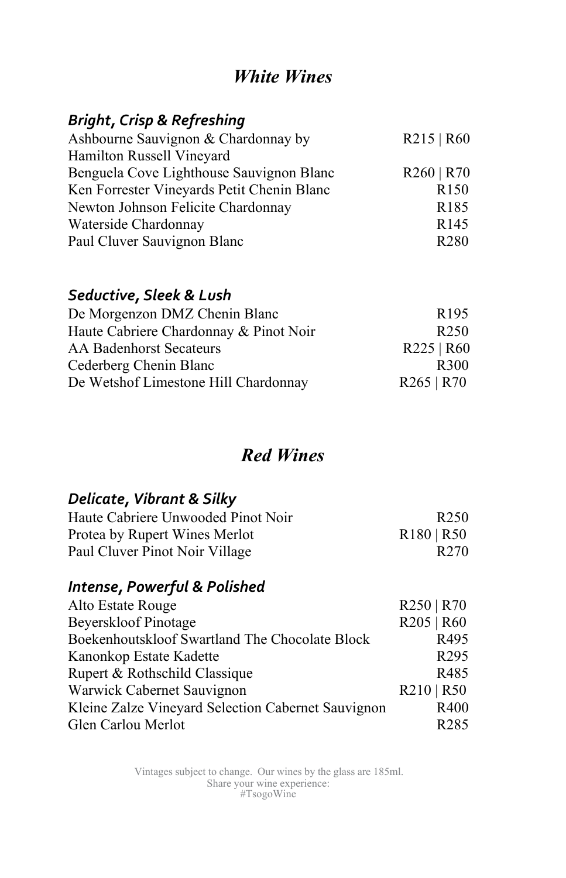# *White Wines*

### *Bright, Crisp & Refreshing*

| Ashbourne Sauvignon & Chardonnay by<br>R215   R60      |                  |
|--------------------------------------------------------|------------------|
| Hamilton Russell Vineyard                              |                  |
| R260   R70<br>Benguela Cove Lighthouse Sauvignon Blanc |                  |
| Ken Forrester Vineyards Petit Chenin Blanc             | R <sub>150</sub> |
| Newton Johnson Felicite Chardonnay                     | R <sub>185</sub> |
| Waterside Chardonnay                                   | R <sub>145</sub> |
| Paul Cluver Sauvignon Blanc                            | R <sub>280</sub> |

#### *Seductive, Sleek & Lush*

| De Morgenzon DMZ Chenin Blanc          | R <sub>195</sub> |
|----------------------------------------|------------------|
| Haute Cabriere Chardonnay & Pinot Noir | R <sub>250</sub> |
| AA Badenhorst Secateurs                | R225   R60       |
| Cederberg Chenin Blanc                 | R300             |
| De Wetshof Limestone Hill Chardonnay   | R265   R70       |

# *Red Wines*

#### *Delicate, Vibrant & Silky*

| Haute Cabriere Unwooded Pinot Noir | R <sub>250</sub> |
|------------------------------------|------------------|
| Protea by Rupert Wines Merlot      | R180   R50       |
| Paul Cluver Pinot Noir Village     | R <sub>270</sub> |

#### *Intense, Powerful & Polished*

| Alto Estate Rouge                                  | R250   R70       |
|----------------------------------------------------|------------------|
| Beyerskloof Pinotage                               | R205   R60       |
| Boekenhoutskloof Swartland The Chocolate Block     | R495             |
| Kanonkop Estate Kadette                            | R <sub>295</sub> |
| Rupert & Rothschild Classique                      | R485             |
| Warwick Cabernet Sauvignon                         | R210   R50       |
| Kleine Zalze Vineyard Selection Cabernet Sauvignon | R400             |
| Glen Carlou Merlot                                 | R <sub>285</sub> |

Vintages subject to change. Our wines by the glass are 185ml. Share your wine experience: #TsogoWine